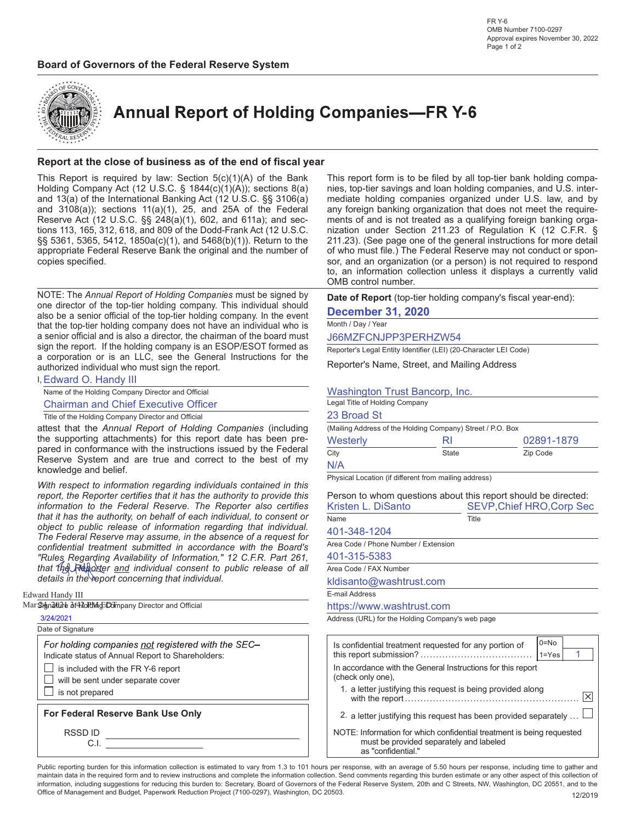



**Annual Report of Holding Companies-FR Y-6** 

#### Report at the close of business as of the end of fiscal year

This Report is required by law: Section  $5(c)(1)(A)$  of the Bank Holding Company Act (12 U.S.C. § 1844(c)(1)(A)); sections 8(a) and 13(a) of the International Banking Act (12 U.S.C. §§ 3106(a) and  $3108(a)$ ; sections  $11(a)(1)$ ,  $25$ , and  $25A$  of the Federal Reserve Act (12 U.S.C. §§ 248(a)(1), 602, and 611a); and sections 113, 165, 312, 618, and 809 of the Dodd-Frank Act (12 U.S.C. §§ 5361, 5365, 5412, 1850a(c)(1), and 5468(b)(1)). Return to the appropriate Federal Reserve Bank the original and the number of copies specified.

NOTE: The Annual Report of Holding Companies must be signed by one director of the top-tier holding company. This individual should also be a senior official of the top-tier holding company. In the event that the top-tier holding company does not have an individual who is a senior official and is also a director, the chairman of the board must sign the report. If the holding company is an ESOP/ESOT formed as a corporation or is an LLC, see the General Instructions for the authorized individual who must sign the report.

| I, Edward O. Handy III                                           |                                 |
|------------------------------------------------------------------|---------------------------------|
| Name of the Holding Company Director and Official                | <b>Washington Trust Bar</b>     |
| <b>Chairman and Chief Executive Officer</b>                      | Legal Title of Holding Company  |
| Title of the Holding Company Director and Official               | 23 Broad St                     |
| attest that the Annual Report of Holding Companies (including    | (Mailing Address of the Holding |
| the supporting attachments) for this report date has been pre-   | Westerly                        |
| pared in conformance with the instructions issued by the Federal | $\bigcap_{i=1}^{n}$             |

pared in conformance with the instructions issued by the Federal Reserve System and are true and correct to the best of knowledge and belief. With respect to information regarding individuals contained in

report, the Reporter certifies that it has the authority to provide information to the Federal Reserve. The Reporter also certi that it has the authority, on behalf of each individual, to consent object to public release of information regarding that individe The Federal Reserve may assume, in the absence of a request confidential treatment submitted in accordance with the Board "Rules, Regarding Availability of Information," 12 C.F.R. Part 2 that the Reporter and individual consent to public release of details in the report concerning that individual.

Edward Handy III

|  | Mar Sinnature อิf4zoldังก์dัDolmpany Director and Official |  |  |
|--|------------------------------------------------------------|--|--|
|--|------------------------------------------------------------|--|--|

|--|--|

| Date of Signature                                                                                       |
|---------------------------------------------------------------------------------------------------------|
| For holding companies not registered with the SEC-<br>Indicate status of Annual Report to Shareholders: |
|                                                                                                         |
| $\Box$ is included with the FR Y-6 report                                                               |

FR Y-6 report  $\Box$  will be sent under separate cover

 $\Box$  is not prepared

For Federal Reserve Bank Use Only

RSSD ID C.I. This report form is to be filed by all top-tier bank holding companies, top-tier savings and loan holding companies, and U.S. intermediate holding companies organized under U.S. law, and by any foreign banking organization that does not meet the requirements of and is not treated as a qualifying foreign banking organization under Section 211.23 of Regulation K (12 C.F.R. § 211.23). (See page one of the general instructions for more detail of who must file.) The Federal Reserve may not conduct or sponsor, and an organization (or a person) is not required to respond to, an information collection unless it displays a currently valid OMB control number.

Date of Report (top-tier holding company's fiscal year-end):

### December 31, 2020

### Month / Day / Year

J66MZFCNJPP3PERHZW54

Reporter's Legal Entity Identifier (LEI) (20-Character LEI Code)

Reporter's Name, Street, and Mailing Address

### ington Trust Bancorp, Inc.

| (Mailing Address of the Holding Company) Street / P.O. Box |                                                             |                                                                |
|------------------------------------------------------------|-------------------------------------------------------------|----------------------------------------------------------------|
| Westerly                                                   | RI                                                          | 02891-1879                                                     |
| City                                                       | State                                                       | Zip Code                                                       |
| N/A                                                        |                                                             |                                                                |
| Physical Location (if different from mailing address)      |                                                             |                                                                |
|                                                            |                                                             | Person to whom questions about this report should be directed: |
| Kristen L. DiSanto                                         |                                                             | <b>SEVP, Chief HRO, Corp Sec</b>                               |
| Name                                                       | Title                                                       |                                                                |
| 401-348-1204                                               |                                                             |                                                                |
| Area Code / Phone Number / Extension                       |                                                             |                                                                |
| 401-315-5383                                               |                                                             |                                                                |
| Area Code / FAX Number                                     |                                                             |                                                                |
| kldisanto@washtrust.com                                    |                                                             |                                                                |
| E-mail Address                                             |                                                             |                                                                |
| https://www.washtrust.com                                  |                                                             |                                                                |
| Address (URL) for the Holding Company's web page           |                                                             |                                                                |
|                                                            |                                                             |                                                                |
|                                                            | Is confidential treatment requested for any portion of      | $0 = No$                                                       |
|                                                            |                                                             | 1<br>$1 = Yes$                                                 |
| (check only one),                                          | In accordance with the General Instructions for this report |                                                                |
|                                                            | 1. a letter justifying this request is being provided along | $\left \times\right $                                          |
|                                                            |                                                             |                                                                |

- 2. a letter justifying this request has been provided separately  $\dots \Box$
- NOTE: Information for which confidential treatment is being requested must be provided separately and labeled as "confidential."

Public reporting burden for this information collection is estimated to vary from 1.3 to 101 hours per response, with an average of 5.50 hours per response, including time to gather and maintain data in the required form and to review instructions and complete the information collection. Send comments regarding this burden estimate or any other aspect of this collection of information, including suggestions for reducing this burden to: Secretary, Board of Governors of the Federal Reserve System, 20th and C Streets, NW, Washington, DC 20551, and to the Office of Management and Budget, Paperwork Reduction Project (7100-0297), Washington, DC 20503. 120019 12/2019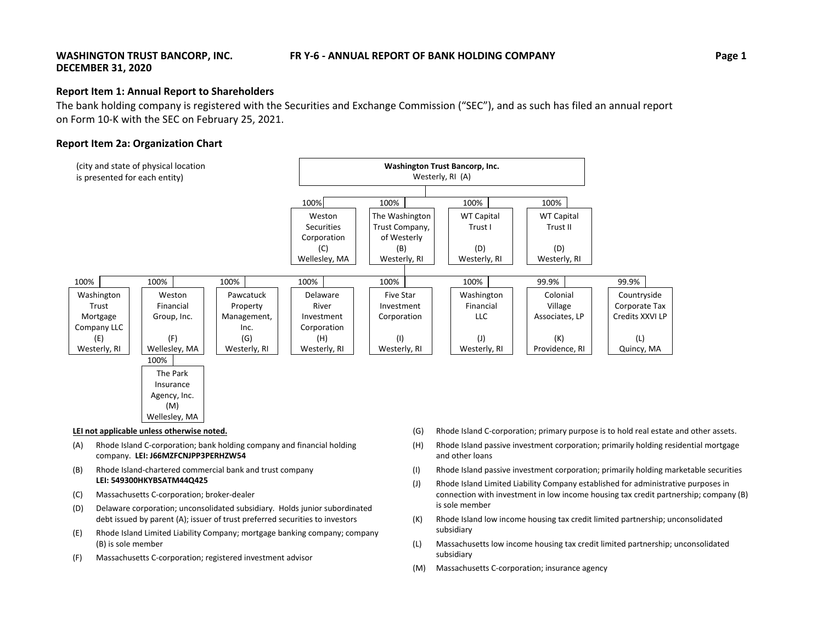### **IFR** Y-6 - ANNUAL REPORT OF BANK HOLDING COMPANY **Example 2 Page** 1

### **WASHINGTON TRUST BANCORP, INC. DECEMBER 31, 2020**

### **Report Item 1: Annual Report to Shareholders**

The bank holding company is registered with the Securities and Exchange Commission ("SEC"), and as such has filed an annual report on Form 10‐K with the SEC on February 25, 2021.

### **Report Item 2a: Organization Chart**

| (city and state of physical location)<br>is presented for each entity) |               |              |               | Washington Trust Bancorp, Inc.<br>Westerly, RI (A) |                   |                   |                 |  |
|------------------------------------------------------------------------|---------------|--------------|---------------|----------------------------------------------------|-------------------|-------------------|-----------------|--|
|                                                                        |               |              | 100%          | 100%                                               | 100%              | 100%              |                 |  |
|                                                                        |               |              | Weston        | The Washington                                     | <b>WT Capital</b> | <b>WT Capital</b> |                 |  |
|                                                                        |               |              | Securities    | Trust Company,                                     | Trust I           | Trust II          |                 |  |
|                                                                        |               |              | Corporation   | of Westerly                                        |                   |                   |                 |  |
|                                                                        |               |              | (C)           | (B)                                                | (D)               | (D)               |                 |  |
|                                                                        |               |              | Wellesley, MA | Westerly, RI                                       | Westerly, RI      | Westerly, RI      |                 |  |
|                                                                        |               |              |               |                                                    |                   |                   |                 |  |
| 100%                                                                   | 100%          | 100%         | 100%          | 100%                                               | 100%              | 99.9%             | 99.9%           |  |
| Washington                                                             | Weston        | Pawcatuck    | Delaware      | <b>Five Star</b>                                   | Washington        | Colonial          | Countryside     |  |
| Trust                                                                  | Financial     | Property     | River         | Investment                                         | Financial         | Village           | Corporate Tax   |  |
| Mortgage                                                               | Group, Inc.   | Management,  | Investment    | Corporation                                        | LLC               | Associates, LP    | Credits XXVI LP |  |
| Company LLC                                                            |               | Inc.         | Corporation   |                                                    |                   |                   |                 |  |
| (E)                                                                    | (F)           | (G)          | (H)           | (1)                                                | $(\mathsf{I})$    | (K)               | (L)             |  |
| Westerly, RI                                                           | Wellesley, MA | Westerly, RI | Westerly, RI  | Westerly, RI                                       | Westerly, RI      | Providence, RI    | Quincy, MA      |  |
|                                                                        | 100%          |              |               |                                                    |                   |                   |                 |  |
|                                                                        | The Park      |              |               |                                                    |                   |                   |                 |  |
|                                                                        | Insurance     |              |               |                                                    |                   |                   |                 |  |
|                                                                        | Agency, Inc.  |              |               |                                                    |                   |                   |                 |  |
|                                                                        | (M)           |              |               |                                                    |                   |                   |                 |  |

#### **LEI not applicable unless otherwise noted.**

- (A) Rhode Island C‐corporation; bank holding company and financial holding company. **LEI: J66MZFCNJPP3PERHZW54**
- (B) Rhode Island‐chartered commercial bank and trust company **LEI: 549300HKYBSATM44Q425**
- (C) Massachusetts C‐corporation; broker‐dealer

Wellesley, MA

- (D) Delaware corporation; unconsolidated subsidiary. Holds junior subordinated debt issued by parent (A); issuer of trust preferred securities to investors
- (E) Rhode Island Limited Liability Company; mortgage banking company; company (B) is sole member
- (F) Massachusetts C‐corporation; registered investment advisor
- (G) Rhode Island C‐corporation; primary purpose is to hold real estate and other assets.
- (H) Rhode Island passive investment corporation; primarily holding residential mortgage and other loans
- (I) Rhode Island passive investment corporation; primarily holding marketable securities
- (J) Rhode Island Limited Liability Company established for administrative purposes in connection with investment in low income housing tax credit partnership; company (B) is sole member
- (K) Rhode Island low income housing tax credit limited partnership; unconsolidated subsidiary
- (L) Massachusetts low income housing tax credit limited partnership; unconsolidated subsidiary
- (M) Massachusetts C‐corporation; insurance agency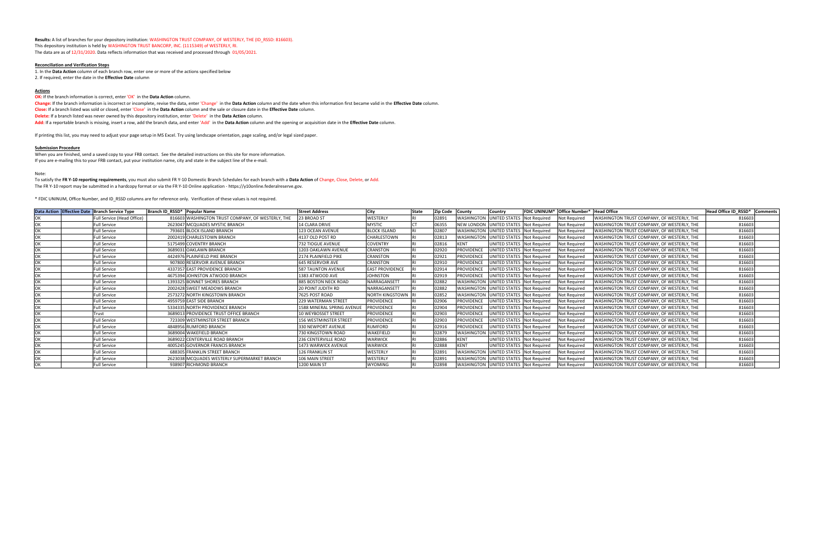**Results:** A list of branches for your depository institution: WASHINGTON TRUST COMPANY, OF WESTERLY, THE (ID\_RSSD: 816603). This depository institution is held by WASHINGTON TRUST BANCORP, INC. (1115349) of WESTERLY, RI. The data are as of 12/31/2020. Data reflects information that was received and processed through 01/05/2021.

#### **Reconciliation and Verification Steps**

1. In the **Data Action** column of each branch row, enter one or more of the actions specified below 2. If required, enter the date in the **Effective Date** column

#### **Actions**

**OK:** If the branch information is correct, enter 'OK' in the **Data Action** column.

Change: If the branch information is incorrect or incomplete, revise the data, enter 'Change' in the Data Action column and the date when this information first became valid in the Effective Date column. **Close:** If a branch listed was sold or closed, enter 'Close' in the **Data Action** column and the sale or closure date in the **Effective Date** column. **Delete:** If a branch listed was never owned by this depository institution, enter 'Delete' in the **Data Action** column. **Add:** If a reportable branch is missing, insert <sup>a</sup> row, add the branch data, and enter 'Add' in the **Data Action** column and the opening or acquisition date in the **Effective Date** column.

When you are finished, send <sup>a</sup> saved copy to your FRB contact. See the detailed instructions on this site for more information. If you are e-mailing this to your FRB contact, put your institution name, city and state in the subject line of the e-mail.

To satisfy the FR Y-10 reporting requirements, you must also submit FR Y-10 Domestic Branch Schedules for each branch with a Data Action of Change, Close, Delete, or Add. The FR Y‐10 report may be submitted in <sup>a</sup> hardcopy format or via the FR Y‐10 Online application ‐ https://y10online.federalreserve.gov.

If printing this list, you may need to adjust your page setup in MS Excel. Try using landscape orientation, page scaling, and/or legal sized paper.

#### **Submission Procedure**

Note:

\* FDIC UNINUM, Office Number, and ID\_RSSD columns are for reference only. Verification of these values is not required.

| Data Action Effective Date Branch Service Type |                            | Branch ID RSSD* Popular Name |                                                   | <b>Street Address</b>       | City                   | State | <b>Zip Code</b> | <b>County</b>     | <b>Country</b>                               |                     | <b>IFDIC UNINUM* Office Number* IHead Office</b> |                                                    | Head Office ID RSSD* Comment |  |
|------------------------------------------------|----------------------------|------------------------------|---------------------------------------------------|-----------------------------|------------------------|-------|-----------------|-------------------|----------------------------------------------|---------------------|--------------------------------------------------|----------------------------------------------------|------------------------------|--|
|                                                | Full Service (Head Office) |                              | 816603 WASHINGTON TRUST COMPANY, OF WESTERLY, THE | 23 BROAD ST                 | WESTERLY               |       | 02891           |                   | <b>WASHINGTON UNITED STATES</b>              | <b>Not Required</b> | Not Required                                     | WASHINGTON TRUST COMPANY, OF WESTERLY, THE         | 816603                       |  |
|                                                | <b>Full Service</b>        |                              | 2623047 MCQUADES MYSTIC BRANCH                    | <b>14 CLARA DRIVE</b>       | <b>MYSTIC</b>          |       | 06355           |                   | NEW LONDON UNITED STATES Not Required        |                     | <b>Not Required</b>                              | <b>IWASHINGTON TRUST COMPANY, OF WESTERLY, THE</b> | 816603                       |  |
|                                                | <b>Full Service</b>        |                              | 793601 BLOCK ISLAND BRANCH                        | 123 OCEAN AVENUE            | <b>BLOCK ISLAND</b>    |       | 0280            |                   | WASHINGTON UNITED STATES Not Required        |                     | Not Required                                     | WASHINGTON TRUST COMPANY, OF WESTERLY, THE         | 816603                       |  |
|                                                | <b>Full Service</b>        |                              | 2002419 CHARLESTOWN BRANCH                        | 4137 OLD POST RD            | CHARLESTOWN            |       | 02813           |                   | WASHINGTON UNITED STATES Not Required        |                     | <b>Not Required</b>                              | WASHINGTON TRUST COMPANY, OF WESTERLY, THE         | 816603                       |  |
|                                                | <b>Full Service</b>        |                              | 5175499 COVENTRY BRANCH                           | 732 TIOGUE AVENUE           | <b>COVENTRY</b>        |       | 02816           | <b>KENT</b>       | <b>UNITED STATES Not Required</b>            |                     | <b>Not Required</b>                              | WASHINGTON TRUST COMPANY, OF WESTERLY, THE         | 816603                       |  |
|                                                | <b>Full Service</b>        |                              | 3689031 OAKLAWN BRANCH                            | <b>1203 OAKLAWN AVENUE</b>  | <b>CRANSTON</b>        |       | 02920           | <b>PROVIDENCE</b> | UNITED STATES Not Required                   |                     | Not Required                                     | WASHINGTON TRUST COMPANY, OF WESTERLY, THE         | 816603                       |  |
|                                                | <b>Full Service</b>        |                              | 4424976 PLAINFIELD PIKE BRANCH                    | 2174 PLAINFIELD PIKE        | <b>CRANSTON</b>        |       | 02921           | <b>PROVIDENCE</b> | UNITED STATES                                | <b>Not Required</b> | Not Required                                     | WASHINGTON TRUST COMPANY, OF WESTERLY, THE         | 816603                       |  |
|                                                | <b>Full Service</b>        |                              | 907800 RESERVOIR AVENUE BRANCH                    | <b>645 RESERVOIR AVE</b>    | <b>CRANSTON</b>        |       | 02910           | <b>PROVIDENCE</b> | UNITED STATES                                | <b>Not Required</b> | Not Required                                     | WASHINGTON TRUST COMPANY, OF WESTERLY, THE         | 816603                       |  |
|                                                | <b>Full Service</b>        |                              | 4337357 EAST PROVIDENCE BRANCH                    | <b>587 TAUNTON AVENUE</b>   | <b>EAST PROVIDENCE</b> |       | 02914           | <b>PROVIDENCE</b> | UNITED STATES Not Required                   |                     | Not Required                                     | WASHINGTON TRUST COMPANY, OF WESTERLY, THE         | 816603                       |  |
|                                                | <b>Full Service</b>        |                              | 4675394 JOHNSTON ATWOOD BRANCH                    | 1383 ATWOOD AVE             | <b>JOHNSTON</b>        |       | 02919           | <b>PROVIDENCE</b> | UNITED STATES Not Required                   |                     | Not Required                                     | WASHINGTON TRUST COMPANY, OF WESTERLY, THE         | 816603                       |  |
|                                                | <b>Full Service</b>        |                              | 1393325 BONNET SHORES BRANCH                      | 885 BOSTON NECK ROAD        | NARRAGANSETT           |       | 02882           |                   | WASHINGTON UNITED STATES                     | Not Required        | Not Required                                     | WASHINGTON TRUST COMPANY, OF WESTERLY, THE         | 816603                       |  |
|                                                | <b>Full Service</b>        |                              | 2002428 SWEET MEADOWS BRANCH                      | <b>20 POINT JUDITH RD</b>   | NARRAGANSETT           |       | 02882           |                   | <b>WASHINGTON UNITED STATES Not Required</b> |                     | Not Required                                     | WASHINGTON TRUST COMPANY, OF WESTERLY, THE         | 816603                       |  |
|                                                | <b>Full Service</b>        |                              | 2573272 NORTH KINGSTOWN BRANCH                    | 7625 POST ROAD              | <b>NORTH KINGSTOWN</b> |       | 02852           |                   | <b>WASHINGTON UNITED STATES Not Required</b> |                     | Not Required                                     | WASHINGTON TRUST COMPANY, OF WESTERLY, THE         | 816603                       |  |
|                                                | <b>Full Service</b>        |                              | 4959759 EAST SIDE BRANCH                          | <b>229 WATERMAN STREET</b>  | <b>PROVIDENCE</b>      |       | 02906           | <b>PROVIDENCE</b> | UNITED STATES Not Required                   |                     | Not Required                                     | WASHINGTON TRUST COMPANY, OF WESTERLY, THE         | 816603                       |  |
|                                                | <b>Full Service</b>        |                              | 5334335 NORTH PROVIDENCE BRANCH                   | 1588 MINERAL SPRING AVENUE  | <b>PROVIDENCE</b>      |       | 02904           | <b>PROVIDENCE</b> | UNITED STATES                                | <b>Not Required</b> | Not Required                                     | WASHINGTON TRUST COMPANY, OF WESTERLY, THE         | 816603                       |  |
|                                                | Trust                      |                              | 3689013 PROVIDENCE TRUST OFFICE BRANCH            | <b>10 WEYBOSSET STREET</b>  | <b>PROVIDENCE</b>      |       | 02903           | <b>PROVIDENCE</b> | UNITED STATES Not Required                   |                     | Not Required                                     | WASHINGTON TRUST COMPANY, OF WESTERLY, THE         | 816603                       |  |
|                                                | <b>Full Service</b>        |                              | 723309 WESTMINSTER STREET BRANCH                  | 156 WESTMINSTER STREET      | <b>PROVIDENCE</b>      |       | 02903           | <b>PROVIDENCE</b> | UNITED STATES Not Required                   |                     | Not Required                                     | WASHINGTON TRUST COMPANY, OF WESTERLY, THE         | 816603                       |  |
|                                                | <b>Full Service</b>        |                              | 4848956 RUMFORD BRANCH                            | 330 NEWPORT AVENUE          | <b>RUMFORD</b>         |       | 02916           | <b>PROVIDENCE</b> | UNITED STATES Not Required                   |                     | Not Required                                     | WASHINGTON TRUST COMPANY, OF WESTERLY, THE         | 816603                       |  |
|                                                | <b>Full Service</b>        |                              | 3689004 WAKEFIELD BRANCH                          | 730 KINGSTOWN ROAD          | WAKEFIELD              |       | 02879           |                   | <b>WASHINGTON UNITED STATES Not Required</b> |                     | Not Required                                     | WASHINGTON TRUST COMPANY, OF WESTERLY, THE         | 816603                       |  |
|                                                | <b>Full Service</b>        |                              | 3689022 CENTERVILLE ROAD BRANCH                   | <b>236 CENTERVILLE ROAD</b> | <b>WARWICK</b>         |       | 02886           | <b>KENT</b>       | UNITED STATES Not Required                   |                     | <b>Not Required</b>                              | WASHINGTON TRUST COMPANY, OF WESTERLY, THE         | 816603                       |  |
|                                                | <b>Full Service</b>        |                              | 4005245 GOVERNOR FRANCIS BRANCH                   | 1473 WARWICK AVENUE         | <b>WARWICK</b>         |       | 02888           | <b>KENT</b>       | UNITED STATES Not Required                   |                     | Not Required                                     | WASHINGTON TRUST COMPANY, OF WESTERLY, THE         | 816603                       |  |
|                                                | <b>Full Service</b>        |                              | 688305 FRANKLIN STREET BRANCH                     | <b>126 FRANKLIN ST</b>      | WESTERLY               |       | 0289            | WASHINGTON        | UNITED STATES                                | <b>Not Required</b> | Not Required                                     | WASHINGTON TRUST COMPANY, OF WESTERLY, THE         | 816603                       |  |
|                                                | <b>Full Service</b>        |                              | 2623038 MCQUADES WESTERLY SUPERMARKET BRANCH      | 106 MAIN STREET             | WESTERLY               |       | 02891           |                   | <b>WASHINGTON UNITED STATES</b>              | <b>Not Required</b> | Not Required                                     | WASHINGTON TRUST COMPANY, OF WESTERLY, THE         | 816603                       |  |
|                                                | <b>Full Service</b>        |                              | 938907 RICHMOND BRANCH                            | 1200 MAIN ST                | <b>WYOMING</b>         |       | 02898           |                   | <b>WASHINGTON UNITED STATES Not Required</b> |                     | Not Required                                     | <b>IWASHINGTON TRUST COMPANY, OF WESTERLY, THE</b> | 816603                       |  |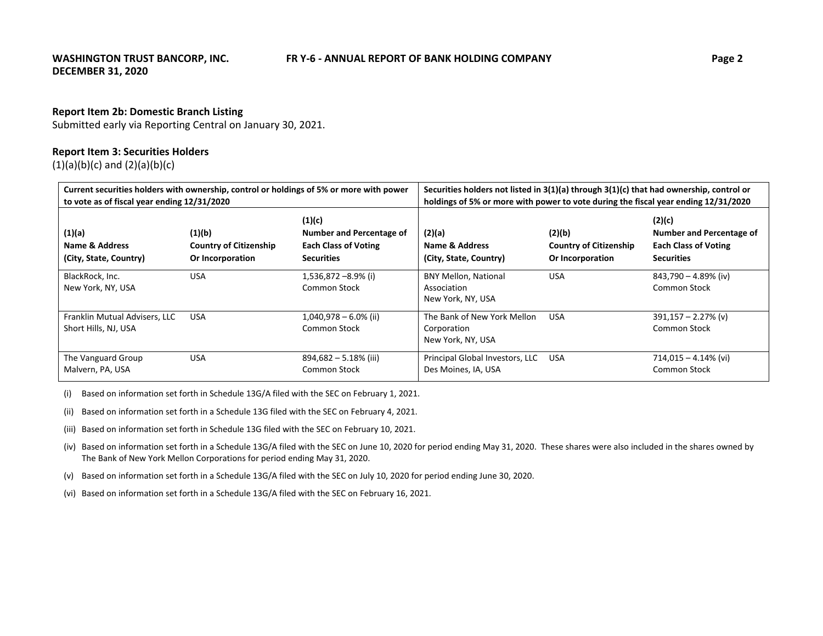### **Report Item 2b: Domestic Branch Listing**

Submitted early via Reporting Central on January 30, 2021.

### **Report Item 3: Securities Holders**

 $(1)(a)(b)(c)$  and  $(2)(a)(b)(c)$ 

| Current securities holders with ownership, control or holdings of 5% or more with power<br>to vote as of fiscal year ending 12/31/2020 |                                                             |                                                                                        | Securities holders not listed in $3(1)(a)$ through $3(1)(c)$ that had ownership, control or<br>holdings of 5% or more with power to vote during the fiscal year ending 12/31/2020 |                                                             |                                                                                        |
|----------------------------------------------------------------------------------------------------------------------------------------|-------------------------------------------------------------|----------------------------------------------------------------------------------------|-----------------------------------------------------------------------------------------------------------------------------------------------------------------------------------|-------------------------------------------------------------|----------------------------------------------------------------------------------------|
| (1)(a)<br>Name & Address<br>(City, State, Country)                                                                                     | (1)(b)<br><b>Country of Citizenship</b><br>Or Incorporation | (1)(c)<br>Number and Percentage of<br><b>Each Class of Voting</b><br><b>Securities</b> | (2)(a)<br>Name & Address<br>(City, State, Country)                                                                                                                                | (2)(b)<br><b>Country of Citizenship</b><br>Or Incorporation | (2)(c)<br>Number and Percentage of<br><b>Each Class of Voting</b><br><b>Securities</b> |
| BlackRock, Inc.<br>New York, NY, USA                                                                                                   | <b>USA</b>                                                  | $1,536,872 - 8.9\%$ (i)<br>Common Stock                                                | <b>BNY Mellon, National</b><br>Association<br>New York, NY, USA                                                                                                                   | <b>USA</b>                                                  | 843,790 - 4.89% (iv)<br>Common Stock                                                   |
| Franklin Mutual Advisers, LLC<br>Short Hills, NJ, USA                                                                                  | <b>USA</b>                                                  | $1,040,978 - 6.0\%$ (ii)<br>Common Stock                                               | The Bank of New York Mellon<br>Corporation<br>New York, NY, USA                                                                                                                   | <b>USA</b>                                                  | $391,157 - 2.27\%$ (v)<br>Common Stock                                                 |
| The Vanguard Group<br>Malvern, PA, USA                                                                                                 | <b>USA</b>                                                  | $894,682 - 5.18\%$ (iii)<br><b>Common Stock</b>                                        | Principal Global Investors, LLC<br>Des Moines, IA, USA                                                                                                                            | USA                                                         | $714,015 - 4.14\%$ (vi)<br><b>Common Stock</b>                                         |

(i) Based on information set forth in Schedule 13G/A filed with the SEC on February 1, 2021.

(ii) Based on information set forth in <sup>a</sup> Schedule 13G filed with the SEC on February 4, 2021.

(iii) Based on information set forth in Schedule 13G filed with the SEC on February 10, 2021.

(iv) Based on information set forth in <sup>a</sup> Schedule 13G/A filed with the SEC on June 10, 2020 for period ending May 31, 2020. These shares were also included in the shares owned by The Bank of New York Mellon Corporations for period ending May 31, 2020.

(v) Based on information set forth in <sup>a</sup> Schedule 13G/A filed with the SEC on July 10, 2020 for period ending June 30, 2020.

(vi) Based on information set forth in <sup>a</sup> Schedule 13G/A filed with the SEC on February 16, 2021.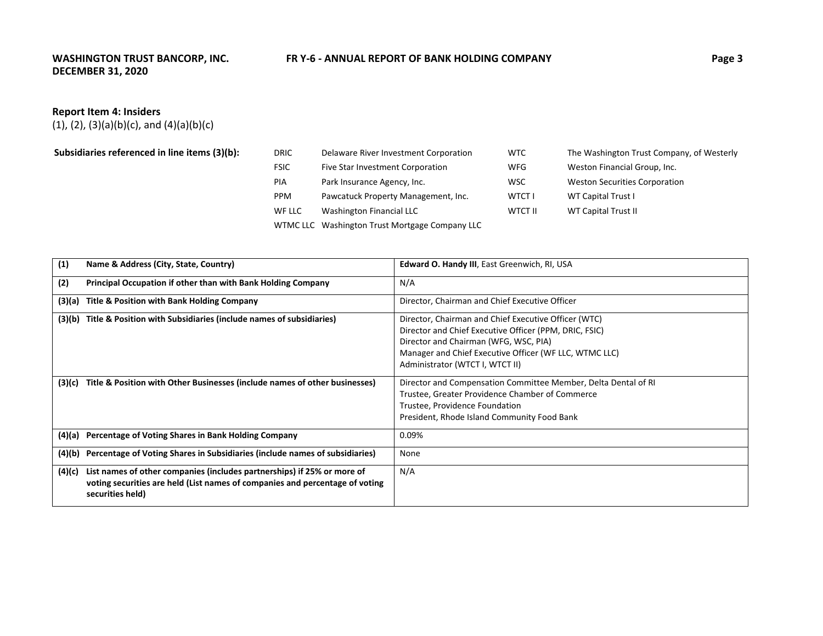### **WASHINGTON TRUST BANCORP, INC. DECEMBER 31, 2020**

### **ER** Y-6 - ANNUAL REPORT OF BANK HOLDING COMPANY **EXAMPLE 10 Page 3**

### **Report Item 4: Insiders**

 $(1)$ ,  $(2)$ ,  $(3)(a)(b)(c)$ , and  $(4)(a)(b)(c)$ 

| Subsidiaries referenced in line items (3)(b): | <b>DRIC</b> | Delaware River Investment Corporation          | WTC           | The Washington Trust Company, of Westerly |
|-----------------------------------------------|-------------|------------------------------------------------|---------------|-------------------------------------------|
|                                               | <b>FSIC</b> | Five Star Investment Corporation               | <b>WFG</b>    | Weston Financial Group, Inc.              |
|                                               | <b>PIA</b>  | Park Insurance Agency, Inc.                    | <b>WSC</b>    | <b>Weston Securities Corporation</b>      |
|                                               | <b>PPM</b>  | Pawcatuck Property Management, Inc.            | <b>WTCT I</b> | <b>WT Capital Trust I</b>                 |
|                                               | WF LLC      | Washington Financial LLC                       | WTCT II       | <b>WT Capital Trust II</b>                |
|                                               |             | WTMC LLC Washington Trust Mortgage Company LLC |               |                                           |

| (1)    | Name & Address (City, State, Country)                                                                                                                                       | Edward O. Handy III, East Greenwich, RI, USA                                                                                                                                                                                                         |
|--------|-----------------------------------------------------------------------------------------------------------------------------------------------------------------------------|------------------------------------------------------------------------------------------------------------------------------------------------------------------------------------------------------------------------------------------------------|
| (2)    | Principal Occupation if other than with Bank Holding Company                                                                                                                | N/A                                                                                                                                                                                                                                                  |
| (3)(a) | Title & Position with Bank Holding Company                                                                                                                                  | Director, Chairman and Chief Executive Officer                                                                                                                                                                                                       |
| (3)(b) | Title & Position with Subsidiaries (include names of subsidiaries)                                                                                                          | Director, Chairman and Chief Executive Officer (WTC)<br>Director and Chief Executive Officer (PPM, DRIC, FSIC)<br>Director and Chairman (WFG, WSC, PIA)<br>Manager and Chief Executive Officer (WF LLC, WTMC LLC)<br>Administrator (WTCT I, WTCT II) |
| (3)(c) | Title & Position with Other Businesses (include names of other businesses)                                                                                                  | Director and Compensation Committee Member, Delta Dental of RI<br>Trustee, Greater Providence Chamber of Commerce<br>Trustee, Providence Foundation<br>President, Rhode Island Community Food Bank                                                   |
| (4)(a) | Percentage of Voting Shares in Bank Holding Company                                                                                                                         | 0.09%                                                                                                                                                                                                                                                |
| (4)(b) | Percentage of Voting Shares in Subsidiaries (include names of subsidiaries)                                                                                                 | None                                                                                                                                                                                                                                                 |
| (4)(c) | List names of other companies (includes partnerships) if 25% or more of<br>voting securities are held (List names of companies and percentage of voting<br>securities held) | N/A                                                                                                                                                                                                                                                  |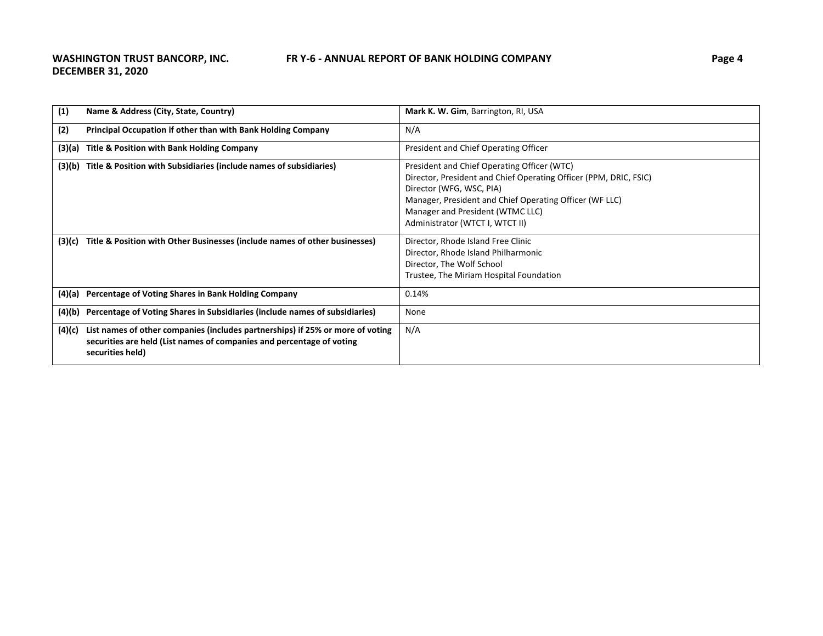| (1)    | Name & Address (City, State, Country)                                                                                                                                       | Mark K. W. Gim, Barrington, RI, USA                                                                                                                                                                                                                                            |
|--------|-----------------------------------------------------------------------------------------------------------------------------------------------------------------------------|--------------------------------------------------------------------------------------------------------------------------------------------------------------------------------------------------------------------------------------------------------------------------------|
| (2)    | Principal Occupation if other than with Bank Holding Company                                                                                                                | N/A                                                                                                                                                                                                                                                                            |
| (3)(a) | Title & Position with Bank Holding Company                                                                                                                                  | President and Chief Operating Officer                                                                                                                                                                                                                                          |
| (3)(b) | Title & Position with Subsidiaries (include names of subsidiaries)                                                                                                          | President and Chief Operating Officer (WTC)<br>Director, President and Chief Operating Officer (PPM, DRIC, FSIC)<br>Director (WFG, WSC, PIA)<br>Manager, President and Chief Operating Officer (WF LLC)<br>Manager and President (WTMC LLC)<br>Administrator (WTCT I, WTCT II) |
| (3)(c) | Title & Position with Other Businesses (include names of other businesses)                                                                                                  | Director, Rhode Island Free Clinic<br>Director, Rhode Island Philharmonic<br>Director, The Wolf School<br>Trustee, The Miriam Hospital Foundation                                                                                                                              |
| (4)(a) | Percentage of Voting Shares in Bank Holding Company                                                                                                                         | 0.14%                                                                                                                                                                                                                                                                          |
| (4)(b) | Percentage of Voting Shares in Subsidiaries (include names of subsidiaries)                                                                                                 | None                                                                                                                                                                                                                                                                           |
| (4)(c) | List names of other companies (includes partnerships) if 25% or more of voting<br>securities are held (List names of companies and percentage of voting<br>securities held) | N/A                                                                                                                                                                                                                                                                            |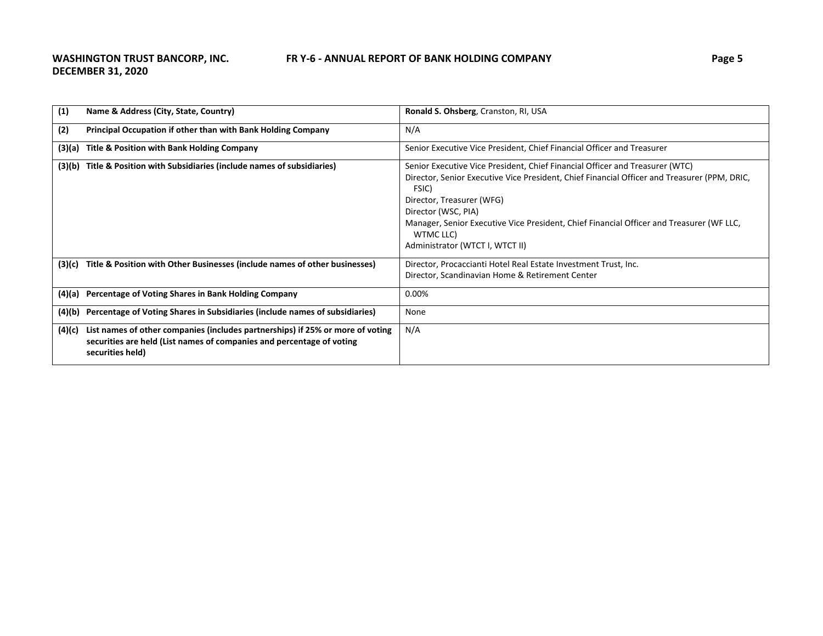| (1)    | Name & Address (City, State, Country)                                                                                                                                       | Ronald S. Ohsberg, Cranston, RI, USA                                                                                                                                                                                                                                                                                                                                                  |
|--------|-----------------------------------------------------------------------------------------------------------------------------------------------------------------------------|---------------------------------------------------------------------------------------------------------------------------------------------------------------------------------------------------------------------------------------------------------------------------------------------------------------------------------------------------------------------------------------|
| (2)    | Principal Occupation if other than with Bank Holding Company                                                                                                                | N/A                                                                                                                                                                                                                                                                                                                                                                                   |
| (3)(a) | Title & Position with Bank Holding Company                                                                                                                                  | Senior Executive Vice President, Chief Financial Officer and Treasurer                                                                                                                                                                                                                                                                                                                |
| (3)(b) | Title & Position with Subsidiaries (include names of subsidiaries)                                                                                                          | Senior Executive Vice President, Chief Financial Officer and Treasurer (WTC)<br>Director, Senior Executive Vice President, Chief Financial Officer and Treasurer (PPM, DRIC,<br>FSIC)<br>Director, Treasurer (WFG)<br>Director (WSC, PIA)<br>Manager, Senior Executive Vice President, Chief Financial Officer and Treasurer (WF LLC,<br>WTMC LLC)<br>Administrator (WTCT I, WTCT II) |
| (3)(c) | Title & Position with Other Businesses (include names of other businesses)                                                                                                  | Director, Procaccianti Hotel Real Estate Investment Trust, Inc.<br>Director, Scandinavian Home & Retirement Center                                                                                                                                                                                                                                                                    |
|        | (4)(a) Percentage of Voting Shares in Bank Holding Company                                                                                                                  | 0.00%                                                                                                                                                                                                                                                                                                                                                                                 |
| (4)(b) | Percentage of Voting Shares in Subsidiaries (include names of subsidiaries)                                                                                                 | None                                                                                                                                                                                                                                                                                                                                                                                  |
| (4)(c) | List names of other companies (includes partnerships) if 25% or more of voting<br>securities are held (List names of companies and percentage of voting<br>securities held) | N/A                                                                                                                                                                                                                                                                                                                                                                                   |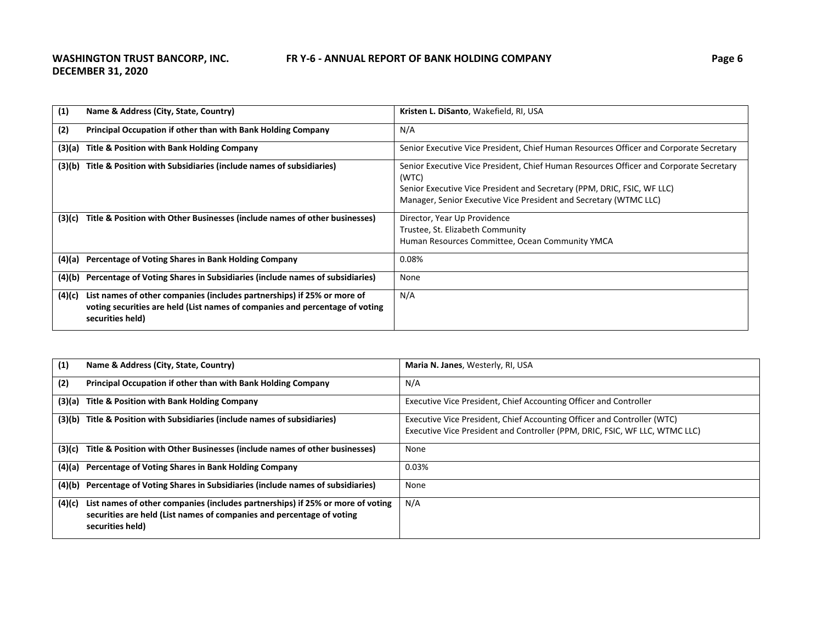| (1)    | Name & Address (City, State, Country)                                                                                                                                       | Kristen L. DiSanto, Wakefield, RI, USA                                                                                                                                                                                                          |
|--------|-----------------------------------------------------------------------------------------------------------------------------------------------------------------------------|-------------------------------------------------------------------------------------------------------------------------------------------------------------------------------------------------------------------------------------------------|
| (2)    | <b>Principal Occupation if other than with Bank Holding Company</b>                                                                                                         | N/A                                                                                                                                                                                                                                             |
| (3)(a) | Title & Position with Bank Holding Company                                                                                                                                  | Senior Executive Vice President, Chief Human Resources Officer and Corporate Secretary                                                                                                                                                          |
| (3)(b) | Title & Position with Subsidiaries (include names of subsidiaries)                                                                                                          | Senior Executive Vice President, Chief Human Resources Officer and Corporate Secretary<br>(WTC)<br>Senior Executive Vice President and Secretary (PPM, DRIC, FSIC, WF LLC)<br>Manager, Senior Executive Vice President and Secretary (WTMC LLC) |
| (3)(c) | Title & Position with Other Businesses (include names of other businesses)                                                                                                  | Director, Year Up Providence<br>Trustee, St. Elizabeth Community<br>Human Resources Committee, Ocean Community YMCA                                                                                                                             |
| (4)(a) | Percentage of Voting Shares in Bank Holding Company                                                                                                                         | 0.08%                                                                                                                                                                                                                                           |
| (4)(b) | Percentage of Voting Shares in Subsidiaries (include names of subsidiaries)                                                                                                 | None                                                                                                                                                                                                                                            |
| (4)(c) | List names of other companies (includes partnerships) if 25% or more of<br>voting securities are held (List names of companies and percentage of voting<br>securities held) | N/A                                                                                                                                                                                                                                             |

| (1)    | Name & Address (City, State, Country)                                                                                                                                       | Maria N. Janes, Westerly, RI, USA                                           |
|--------|-----------------------------------------------------------------------------------------------------------------------------------------------------------------------------|-----------------------------------------------------------------------------|
| (2)    | Principal Occupation if other than with Bank Holding Company                                                                                                                | N/A                                                                         |
| (3)(a) | Title & Position with Bank Holding Company                                                                                                                                  | Executive Vice President, Chief Accounting Officer and Controller           |
| (3)(b) | Title & Position with Subsidiaries (include names of subsidiaries)                                                                                                          | Executive Vice President, Chief Accounting Officer and Controller (WTC)     |
|        |                                                                                                                                                                             | Executive Vice President and Controller (PPM, DRIC, FSIC, WF LLC, WTMC LLC) |
| (3)(c) | Title & Position with Other Businesses (include names of other businesses)                                                                                                  | None                                                                        |
|        | (4)(a) Percentage of Voting Shares in Bank Holding Company                                                                                                                  | 0.03%                                                                       |
| (4)(b) | Percentage of Voting Shares in Subsidiaries (include names of subsidiaries)                                                                                                 | None                                                                        |
| (4)(c) | List names of other companies (includes partnerships) if 25% or more of voting<br>securities are held (List names of companies and percentage of voting<br>securities held) | N/A                                                                         |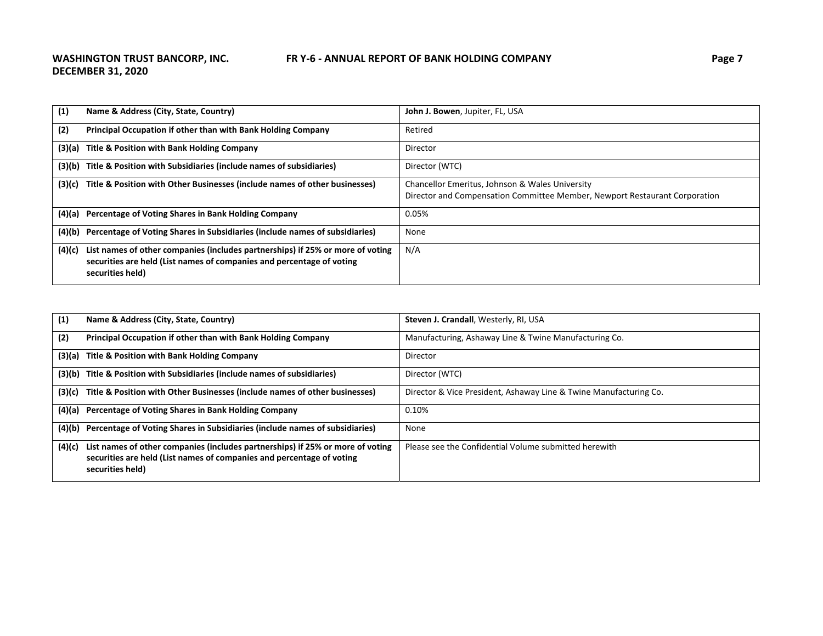| (1)    | Name & Address (City, State, Country)                                                                                                                                       | <b>John J. Bowen, Jupiter, FL, USA</b>                                                                                        |
|--------|-----------------------------------------------------------------------------------------------------------------------------------------------------------------------------|-------------------------------------------------------------------------------------------------------------------------------|
| (2)    | Principal Occupation if other than with Bank Holding Company                                                                                                                | Retired                                                                                                                       |
| (3)(a) | Title & Position with Bank Holding Company                                                                                                                                  | Director                                                                                                                      |
|        | (3)(b) Title & Position with Subsidiaries (include names of subsidiaries)                                                                                                   | Director (WTC)                                                                                                                |
| (3)(c) | Title & Position with Other Businesses (include names of other businesses)                                                                                                  | Chancellor Emeritus, Johnson & Wales University<br>Director and Compensation Committee Member, Newport Restaurant Corporation |
|        | (4)(a) Percentage of Voting Shares in Bank Holding Company                                                                                                                  | 0.05%                                                                                                                         |
| (4)(b) | Percentage of Voting Shares in Subsidiaries (include names of subsidiaries)                                                                                                 | None                                                                                                                          |
| (4)(c) | List names of other companies (includes partnerships) if 25% or more of voting<br>securities are held (List names of companies and percentage of voting<br>securities held) | N/A                                                                                                                           |

| (1)    | Name & Address (City, State, Country)                                                                                                                                       | Steven J. Crandall, Westerly, RI, USA                             |
|--------|-----------------------------------------------------------------------------------------------------------------------------------------------------------------------------|-------------------------------------------------------------------|
| (2)    | Principal Occupation if other than with Bank Holding Company                                                                                                                | Manufacturing, Ashaway Line & Twine Manufacturing Co.             |
|        | (3)(a) Title & Position with Bank Holding Company                                                                                                                           | Director                                                          |
|        | (3)(b) Title & Position with Subsidiaries (include names of subsidiaries)                                                                                                   | Director (WTC)                                                    |
| (3)(c) | Title & Position with Other Businesses (include names of other businesses)                                                                                                  | Director & Vice President, Ashaway Line & Twine Manufacturing Co. |
|        | (4)(a) Percentage of Voting Shares in Bank Holding Company                                                                                                                  | $0.10\%$                                                          |
|        | (4)(b) Percentage of Voting Shares in Subsidiaries (include names of subsidiaries)                                                                                          | None                                                              |
| (4)(c) | List names of other companies (includes partnerships) if 25% or more of voting<br>securities are held (List names of companies and percentage of voting<br>securities held) | Please see the Confidential Volume submitted herewith             |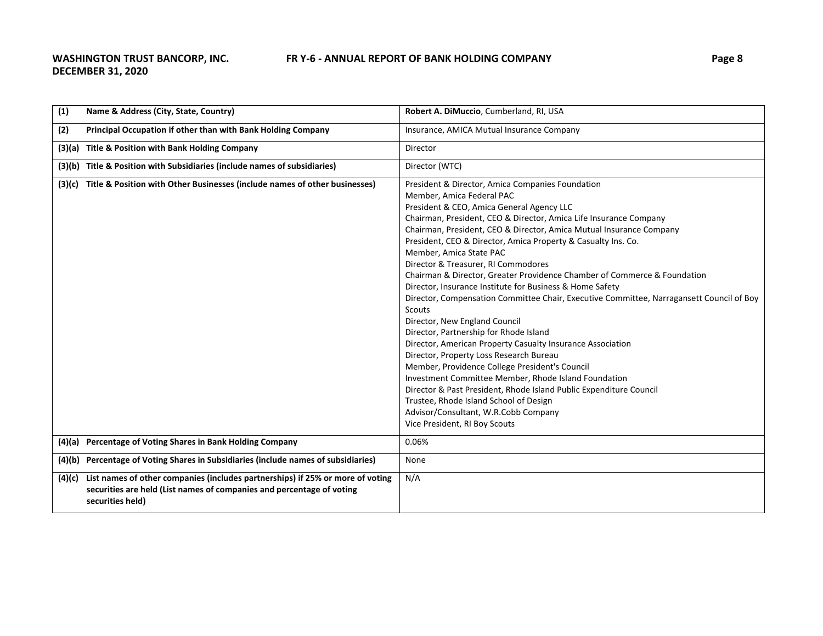| (1)    | Name & Address (City, State, Country)                                                                                                                                       | Robert A. DiMuccio, Cumberland, RI, USA                                                                                                                                                                                                                                                                                                                                                                                                                                                                                                                                                                                                                                                                                                                                                                                                                                                                                                                                                                                                                                                                                                               |
|--------|-----------------------------------------------------------------------------------------------------------------------------------------------------------------------------|-------------------------------------------------------------------------------------------------------------------------------------------------------------------------------------------------------------------------------------------------------------------------------------------------------------------------------------------------------------------------------------------------------------------------------------------------------------------------------------------------------------------------------------------------------------------------------------------------------------------------------------------------------------------------------------------------------------------------------------------------------------------------------------------------------------------------------------------------------------------------------------------------------------------------------------------------------------------------------------------------------------------------------------------------------------------------------------------------------------------------------------------------------|
| (2)    | Principal Occupation if other than with Bank Holding Company                                                                                                                | Insurance, AMICA Mutual Insurance Company                                                                                                                                                                                                                                                                                                                                                                                                                                                                                                                                                                                                                                                                                                                                                                                                                                                                                                                                                                                                                                                                                                             |
|        | (3)(a) Title & Position with Bank Holding Company                                                                                                                           | Director                                                                                                                                                                                                                                                                                                                                                                                                                                                                                                                                                                                                                                                                                                                                                                                                                                                                                                                                                                                                                                                                                                                                              |
|        | (3)(b) Title & Position with Subsidiaries (include names of subsidiaries)                                                                                                   | Director (WTC)                                                                                                                                                                                                                                                                                                                                                                                                                                                                                                                                                                                                                                                                                                                                                                                                                                                                                                                                                                                                                                                                                                                                        |
| (3)(c) | Title & Position with Other Businesses (include names of other businesses)                                                                                                  | President & Director, Amica Companies Foundation<br>Member, Amica Federal PAC<br>President & CEO, Amica General Agency LLC<br>Chairman, President, CEO & Director, Amica Life Insurance Company<br>Chairman, President, CEO & Director, Amica Mutual Insurance Company<br>President, CEO & Director, Amica Property & Casualty Ins. Co.<br>Member, Amica State PAC<br>Director & Treasurer, RI Commodores<br>Chairman & Director, Greater Providence Chamber of Commerce & Foundation<br>Director, Insurance Institute for Business & Home Safety<br>Director, Compensation Committee Chair, Executive Committee, Narragansett Council of Boy<br><b>Scouts</b><br>Director, New England Council<br>Director, Partnership for Rhode Island<br>Director, American Property Casualty Insurance Association<br>Director, Property Loss Research Bureau<br>Member, Providence College President's Council<br>Investment Committee Member, Rhode Island Foundation<br>Director & Past President, Rhode Island Public Expenditure Council<br>Trustee, Rhode Island School of Design<br>Advisor/Consultant, W.R.Cobb Company<br>Vice President, RI Boy Scouts |
|        | (4)(a) Percentage of Voting Shares in Bank Holding Company                                                                                                                  | 0.06%                                                                                                                                                                                                                                                                                                                                                                                                                                                                                                                                                                                                                                                                                                                                                                                                                                                                                                                                                                                                                                                                                                                                                 |
|        | (4)(b) Percentage of Voting Shares in Subsidiaries (include names of subsidiaries)                                                                                          | None                                                                                                                                                                                                                                                                                                                                                                                                                                                                                                                                                                                                                                                                                                                                                                                                                                                                                                                                                                                                                                                                                                                                                  |
| (4)(c) | List names of other companies (includes partnerships) if 25% or more of voting<br>securities are held (List names of companies and percentage of voting<br>securities held) | N/A                                                                                                                                                                                                                                                                                                                                                                                                                                                                                                                                                                                                                                                                                                                                                                                                                                                                                                                                                                                                                                                                                                                                                   |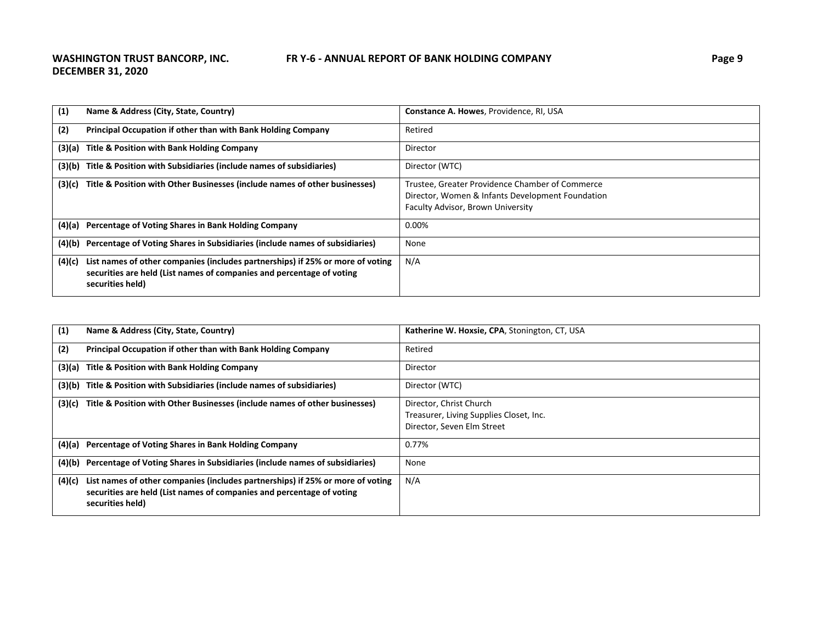| (1)    | Name & Address (City, State, Country)                                                                                                                                       | <b>Constance A. Howes, Providence, RI, USA</b>                                                                                           |
|--------|-----------------------------------------------------------------------------------------------------------------------------------------------------------------------------|------------------------------------------------------------------------------------------------------------------------------------------|
| (2)    | Principal Occupation if other than with Bank Holding Company                                                                                                                | Retired                                                                                                                                  |
|        | (3)(a) Title & Position with Bank Holding Company                                                                                                                           | Director                                                                                                                                 |
|        | (3)(b) Title & Position with Subsidiaries (include names of subsidiaries)                                                                                                   | Director (WTC)                                                                                                                           |
| (3)(c) | Title & Position with Other Businesses (include names of other businesses)                                                                                                  | Trustee, Greater Providence Chamber of Commerce<br>Director, Women & Infants Development Foundation<br>Faculty Advisor, Brown University |
|        | (4)(a) Percentage of Voting Shares in Bank Holding Company                                                                                                                  | 0.00%                                                                                                                                    |
| (4)(b) | Percentage of Voting Shares in Subsidiaries (include names of subsidiaries)                                                                                                 | None                                                                                                                                     |
| (4)(c) | List names of other companies (includes partnerships) if 25% or more of voting<br>securities are held (List names of companies and percentage of voting<br>securities held) | N/A                                                                                                                                      |

| (1)    | Name & Address (City, State, Country)                                                                                                                                       | Katherine W. Hoxsie, CPA, Stonington, CT, USA                                                    |
|--------|-----------------------------------------------------------------------------------------------------------------------------------------------------------------------------|--------------------------------------------------------------------------------------------------|
| (2)    | Principal Occupation if other than with Bank Holding Company                                                                                                                | Retired                                                                                          |
| (3)(a) | Title & Position with Bank Holding Company                                                                                                                                  | Director                                                                                         |
| (3)(b) | Title & Position with Subsidiaries (include names of subsidiaries)                                                                                                          | Director (WTC)                                                                                   |
| (3)(c) | Title & Position with Other Businesses (include names of other businesses)                                                                                                  | Director, Christ Church<br>Treasurer, Living Supplies Closet, Inc.<br>Director, Seven Elm Street |
|        | (4)(a) Percentage of Voting Shares in Bank Holding Company                                                                                                                  | 0.77%                                                                                            |
| (4)(b) | Percentage of Voting Shares in Subsidiaries (include names of subsidiaries)                                                                                                 | None                                                                                             |
| (4)(c) | List names of other companies (includes partnerships) if 25% or more of voting<br>securities are held (List names of companies and percentage of voting<br>securities held) | N/A                                                                                              |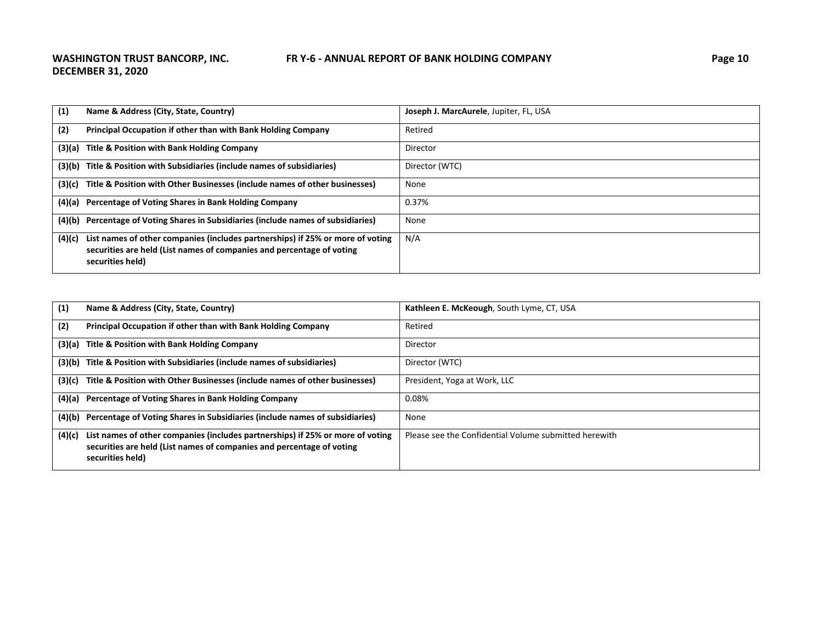| (1)    | Name & Address (City, State, Country)                                                                                                                                       | Joseph J. MarcAurele, Jupiter, FL, USA |
|--------|-----------------------------------------------------------------------------------------------------------------------------------------------------------------------------|----------------------------------------|
| (2)    | Principal Occupation if other than with Bank Holding Company                                                                                                                | Retired                                |
|        | (3)(a) Title & Position with Bank Holding Company                                                                                                                           | Director                               |
|        | (3)(b) Title & Position with Subsidiaries (include names of subsidiaries)                                                                                                   | Director (WTC)                         |
|        | (3)(c) Title & Position with Other Businesses (include names of other businesses)                                                                                           | None                                   |
|        | (4)(a) Percentage of Voting Shares in Bank Holding Company                                                                                                                  | 0.37%                                  |
|        | (4)(b) Percentage of Voting Shares in Subsidiaries (include names of subsidiaries)                                                                                          | None                                   |
| (4)(c) | List names of other companies (includes partnerships) if 25% or more of voting<br>securities are held (List names of companies and percentage of voting<br>securities held) | N/A                                    |

| (1)    | Name & Address (City, State, Country)                                                                                                                                       | Kathleen E. McKeough, South Lyme, CT, USA             |
|--------|-----------------------------------------------------------------------------------------------------------------------------------------------------------------------------|-------------------------------------------------------|
| (2)    | Principal Occupation if other than with Bank Holding Company                                                                                                                | Retired                                               |
|        | (3)(a) Title & Position with Bank Holding Company                                                                                                                           | Director                                              |
|        | (3)(b) Title & Position with Subsidiaries (include names of subsidiaries)                                                                                                   | Director (WTC)                                        |
| (3)(c) | Title & Position with Other Businesses (include names of other businesses)                                                                                                  | President, Yoga at Work, LLC                          |
|        | (4)(a) Percentage of Voting Shares in Bank Holding Company                                                                                                                  | 0.08%                                                 |
|        | (4)(b) Percentage of Voting Shares in Subsidiaries (include names of subsidiaries)                                                                                          | None                                                  |
| (4)(c) | List names of other companies (includes partnerships) if 25% or more of voting<br>securities are held (List names of companies and percentage of voting<br>securities held) | Please see the Confidential Volume submitted herewith |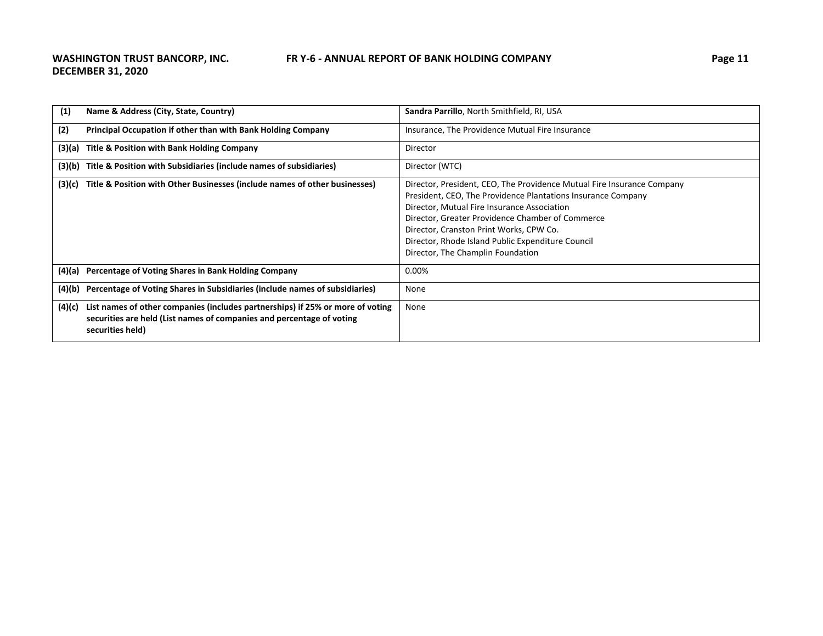| (1)    | Name & Address (City, State, Country)                                                                                                                                       | Sandra Parrillo, North Smithfield, RI, USA                                                                                                                                                                                                                                                                                                                                     |
|--------|-----------------------------------------------------------------------------------------------------------------------------------------------------------------------------|--------------------------------------------------------------------------------------------------------------------------------------------------------------------------------------------------------------------------------------------------------------------------------------------------------------------------------------------------------------------------------|
| (2)    | Principal Occupation if other than with Bank Holding Company                                                                                                                | Insurance, The Providence Mutual Fire Insurance                                                                                                                                                                                                                                                                                                                                |
|        | (3)(a) Title & Position with Bank Holding Company                                                                                                                           | Director                                                                                                                                                                                                                                                                                                                                                                       |
| (3)(b) | Title & Position with Subsidiaries (include names of subsidiaries)                                                                                                          | Director (WTC)                                                                                                                                                                                                                                                                                                                                                                 |
| (3)(c) | Title & Position with Other Businesses (include names of other businesses)                                                                                                  | Director, President, CEO, The Providence Mutual Fire Insurance Company<br>President, CEO, The Providence Plantations Insurance Company<br>Director, Mutual Fire Insurance Association<br>Director, Greater Providence Chamber of Commerce<br>Director, Cranston Print Works, CPW Co.<br>Director, Rhode Island Public Expenditure Council<br>Director, The Champlin Foundation |
| (4)(a) | Percentage of Voting Shares in Bank Holding Company                                                                                                                         | 0.00%                                                                                                                                                                                                                                                                                                                                                                          |
| (4)(b) | Percentage of Voting Shares in Subsidiaries (include names of subsidiaries)                                                                                                 | None                                                                                                                                                                                                                                                                                                                                                                           |
| (4)(c) | List names of other companies (includes partnerships) if 25% or more of voting<br>securities are held (List names of companies and percentage of voting<br>securities held) | None                                                                                                                                                                                                                                                                                                                                                                           |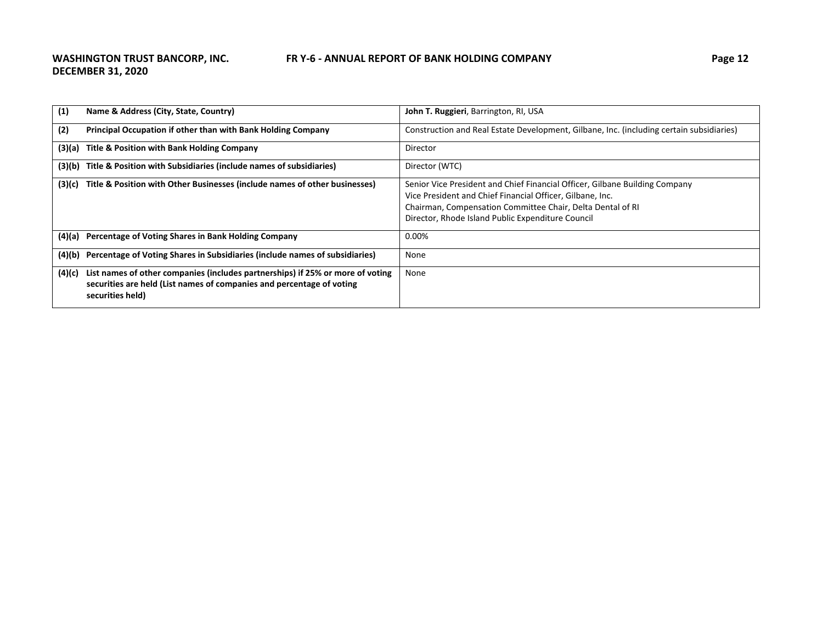| (1)    | Name & Address (City, State, Country)                                                                                                                                       | John T. Ruggieri, Barrington, RI, USA                                                                                                                                                                                                                       |
|--------|-----------------------------------------------------------------------------------------------------------------------------------------------------------------------------|-------------------------------------------------------------------------------------------------------------------------------------------------------------------------------------------------------------------------------------------------------------|
| (2)    | Principal Occupation if other than with Bank Holding Company                                                                                                                | Construction and Real Estate Development, Gilbane, Inc. (including certain subsidiaries)                                                                                                                                                                    |
| (3)(a) | Title & Position with Bank Holding Company                                                                                                                                  | Director                                                                                                                                                                                                                                                    |
| (3)(b) | Title & Position with Subsidiaries (include names of subsidiaries)                                                                                                          | Director (WTC)                                                                                                                                                                                                                                              |
| (3)(c) | Title & Position with Other Businesses (include names of other businesses)                                                                                                  | Senior Vice President and Chief Financial Officer, Gilbane Building Company<br>Vice President and Chief Financial Officer, Gilbane, Inc.<br>Chairman, Compensation Committee Chair, Delta Dental of RI<br>Director, Rhode Island Public Expenditure Council |
|        | (4)(a) Percentage of Voting Shares in Bank Holding Company                                                                                                                  | 0.00%                                                                                                                                                                                                                                                       |
| (4)(b) | Percentage of Voting Shares in Subsidiaries (include names of subsidiaries)                                                                                                 | None                                                                                                                                                                                                                                                        |
| (4)(c) | List names of other companies (includes partnerships) if 25% or more of voting<br>securities are held (List names of companies and percentage of voting<br>securities held) | None                                                                                                                                                                                                                                                        |